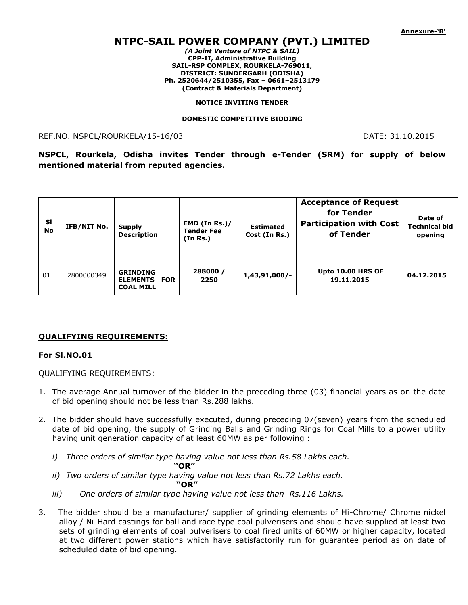# **NTPC-SAIL POWER COMPANY (PVT.) LIMITED**

*(A Joint Venture of NTPC & SAIL)* **CPP-II, Administrative Building SAIL-RSP COMPLEX, ROURKELA-769011, DISTRICT: SUNDERGARH (ODISHA) Ph. 2520644/2510355, Fax – 0661–2513179 (Contract & Materials Department)**

#### **NOTICE INVITING TENDER**

#### **DOMESTIC COMPETITIVE BIDDING**

### REF.NO. NSPCL/ROURKELA/15-16/03 DATE: 31.10.2015

**NSPCL, Rourkela, Odisha invites Tender through e-Tender (SRM) for supply of below mentioned material from reputed agencies.**

| <b>SI</b><br><b>No</b> | IFB/NIT No. | <b>Supply</b><br><b>Description</b>                        | EMD (In Rs.)/<br><b>Tender Fee</b><br>(In Rs.) | <b>Estimated</b><br>Cost (In Rs.) | <b>Acceptance of Request</b><br>for Tender<br><b>Participation with Cost</b><br>of Tender | Date of<br><b>Technical bid</b><br>opening |
|------------------------|-------------|------------------------------------------------------------|------------------------------------------------|-----------------------------------|-------------------------------------------------------------------------------------------|--------------------------------------------|
| 01                     | 2800000349  | <b>GRINDING</b><br><b>ELEMENTS FOR</b><br><b>COAL MILL</b> | 288000 /<br>2250                               | $1,43,91,000/-$                   | <b>Upto 10.00 HRS OF</b><br>19.11.2015                                                    | 04.12.2015                                 |

#### **QUALIFYING REQUIREMENTS:**

#### **For Sl.NO.01**

#### QUALIFYING REQUIREMENTS:

- 1. The average Annual turnover of the bidder in the preceding three (03) financial years as on the date of bid opening should not be less than Rs.288 lakhs.
- 2. The bidder should have successfully executed, during preceding 07(seven) years from the scheduled date of bid opening, the supply of Grinding Balls and Grinding Rings for Coal Mills to a power utility having unit generation capacity of at least 60MW as per following :
	- *i) Three orders of similar type having value not less than Rs.58 Lakhs each.* 
		- **"OR"**
	- *ii) Two orders of similar type having value not less than Rs.72 Lakhs each.*

 **"OR"**

- *iii) One orders of similar type having value not less than Rs.116 Lakhs.*
- 3. The bidder should be a manufacturer/ supplier of grinding elements of Hi-Chrome/ Chrome nickel alloy / Ni-Hard castings for ball and race type coal pulverisers and should have supplied at least two sets of grinding elements of coal pulverisers to coal fired units of 60MW or higher capacity, located at two different power stations which have satisfactorily run for guarantee period as on date of scheduled date of bid opening.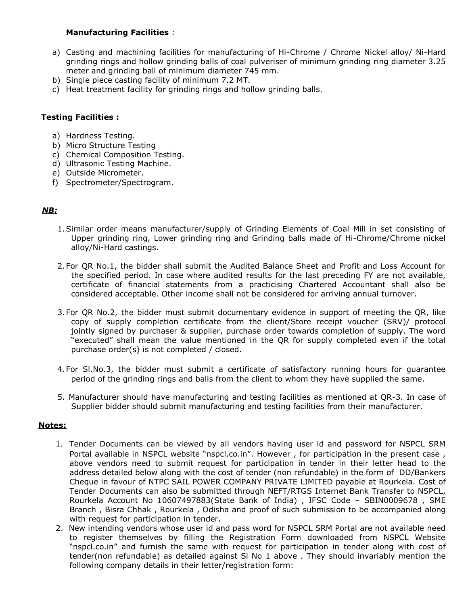## **Manufacturing Facilities** :

- a) Casting and machining facilities for manufacturing of Hi-Chrome / Chrome Nickel alloy/ Ni-Hard grinding rings and hollow grinding balls of coal pulveriser of minimum grinding ring diameter 3.25 meter and grinding ball of minimum diameter 745 mm.
- b) Single piece casting facility of minimum 7.2 MT.
- c) Heat treatment facility for grinding rings and hollow grinding balls.

### **Testing Facilities :**

- a) Hardness Testing.
- b) Micro Structure Testing
- c) Chemical Composition Testing.
- d) Ultrasonic Testing Machine.
- e) Outside Micrometer.
- f) Spectrometer/Spectrogram.

# *NB:*

- 1.Similar order means manufacturer/supply of Grinding Elements of Coal Mill in set consisting of Upper grinding ring, Lower grinding ring and Grinding balls made of Hi-Chrome/Chrome nickel alloy/Ni-Hard castings.
- 2.For QR No.1, the bidder shall submit the Audited Balance Sheet and Profit and Loss Account for the specified period. In case where audited results for the last preceding FY are not available, certificate of financial statements from a practicising Chartered Accountant shall also be considered acceptable. Other income shall not be considered for arriving annual turnover.
- 3.For QR No.2, the bidder must submit documentary evidence in support of meeting the QR, like copy of supply completion certificate from the client/Store receipt voucher (SRV)/ protocol jointly signed by purchaser & supplier, purchase order towards completion of supply. The word "executed" shall mean the value mentioned in the QR for supply completed even if the total purchase order(s) is not completed / closed.
- 4.For Sl.No.3, the bidder must submit a certificate of satisfactory running hours for guarantee period of the grinding rings and balls from the client to whom they have supplied the same.
- 5. Manufacturer should have manufacturing and testing facilities as mentioned at QR-3. In case of Supplier bidder should submit manufacturing and testing facilities from their manufacturer.

#### **Notes:**

- 1. Tender Documents can be viewed by all vendors having user id and password for NSPCL SRM Portal available in NSPCL website "nspcl.co.in". However, for participation in the present case, above vendors need to submit request for participation in tender in their letter head to the address detailed below along with the cost of tender (non refundable) in the form of DD/Bankers Cheque in favour of NTPC SAIL POWER COMPANY PRIVATE LIMITED payable at Rourkela. Cost of Tender Documents can also be submitted through NEFT/RTGS Internet Bank Transfer to NSPCL, Rourkela Account No 10607497883(State Bank of India) , IFSC Code – SBIN0009678 , SME Branch , Bisra Chhak , Rourkela , Odisha and proof of such submission to be accompanied along with request for participation in tender.
- 2. New intending vendors whose user id and pass word for NSPCL SRM Portal are not available need to register themselves by filling the Registration Form downloaded from NSPCL Website "nspcl.co.in" and furnish the same with request for participation in tender along with cost of tender(non refundable) as detailed against Sl No 1 above . They should invariably mention the following company details in their letter/registration form: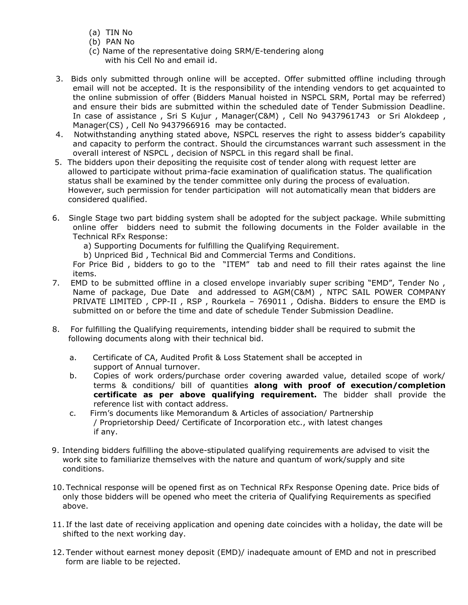- (a) TIN No
- (b) PAN No
- (c) Name of the representative doing SRM/E-tendering along with his Cell No and email id.
- 3. Bids only submitted through online will be accepted. Offer submitted offline including through email will not be accepted. It is the responsibility of the intending vendors to get acquainted to the online submission of offer (Bidders Manual hoisted in NSPCL SRM, Portal may be referred) and ensure their bids are submitted within the scheduled date of Tender Submission Deadline. In case of assistance , Sri S Kujur , Manager(C&M) , Cell No 9437961743 or Sri Alokdeep , Manager(CS) , Cell No 9437966916 may be contacted.
- 4. Notwithstanding anything stated above, NSPCL reserves the right to assess bidder's capability and capacity to perform the contract. Should the circumstances warrant such assessment in the overall interest of NSPCL , decision of NSPCL in this regard shall be final.
- 5. The bidders upon their depositing the requisite cost of tender along with request letter are allowed to participate without prima-facie examination of qualification status. The qualification status shall be examined by the tender committee only during the process of evaluation. However, such permission for tender participation will not automatically mean that bidders are considered qualified.
- 6. Single Stage two part bidding system shall be adopted for the subject package. While submitting online offer bidders need to submit the following documents in the Folder available in the Technical RFx Response:
	- a) Supporting Documents for fulfilling the Qualifying Requirement.
	- b) Unpriced Bid , Technical Bid and Commercial Terms and Conditions.

For Price Bid , bidders to go to the "ITEM" tab and need to fill their rates against the line items.

- 7. EMD to be submitted offline in a closed envelope invariably super scribing "EMD", Tender No , Name of package, Due Date and addressed to AGM(C&M) , NTPC SAIL POWER COMPANY PRIVATE LIMITED , CPP-II , RSP , Rourkela – 769011 , Odisha. Bidders to ensure the EMD is submitted on or before the time and date of schedule Tender Submission Deadline.
- 8. For fulfilling the Qualifying requirements, intending bidder shall be required to submit the following documents along with their technical bid.
	- a. Certificate of CA, Audited Profit & Loss Statement shall be accepted in support of Annual turnover.
	- b. Copies of work orders/purchase order covering awarded value, detailed scope of work/ terms & conditions/ bill of quantities **along with proof of execution/completion certificate as per above qualifying requirement.** The bidder shall provide the reference list with contact address.
	- c. Firm's documents like Memorandum & Articles of association/ Partnership / Proprietorship Deed/ Certificate of Incorporation etc., with latest changes if any.
- 9. Intending bidders fulfilling the above-stipulated qualifying requirements are advised to visit the work site to familiarize themselves with the nature and quantum of work/supply and site conditions.
- 10. Technical response will be opened first as on Technical RFx Response Opening date. Price bids of only those bidders will be opened who meet the criteria of Qualifying Requirements as specified above.
- 11. If the last date of receiving application and opening date coincides with a holiday, the date will be shifted to the next working day.
- 12. Tender without earnest money deposit (EMD)/ inadequate amount of EMD and not in prescribed form are liable to be rejected.